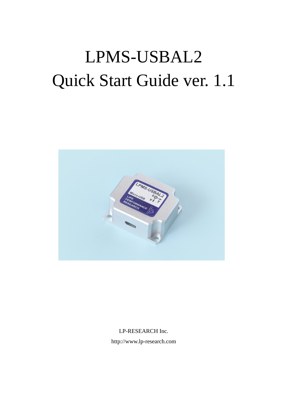# LPMS-USBAL2 Quick Start Guide ver. 1.1



LP-RESEARCH Inc.

http://www.lp-research.com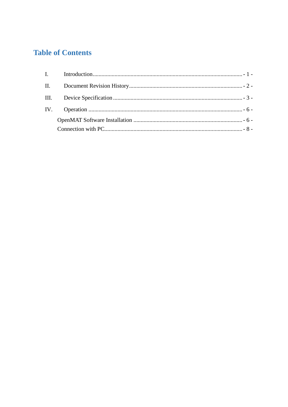# **Table of Contents**

| $\mathbf{II}$ . |  |
|-----------------|--|
|                 |  |
|                 |  |
|                 |  |
|                 |  |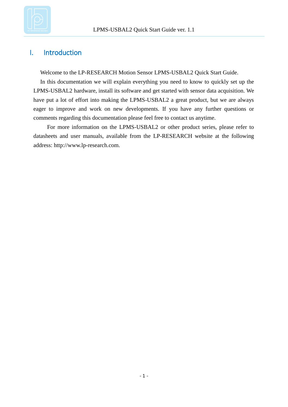

## <span id="page-2-0"></span>I. Introduction

Welcome to the LP-RESEARCH Motion Sensor LPMS-USBAL2 Quick Start Guide.

In this documentation we will explain everything you need to know to quickly set up the LPMS-USBAL2 hardware, install its software and get started with sensor data acquisition. We have put a lot of effort into making the LPMS-USBAL2 a great product, but we are always eager to improve and work on new developments. If you have any further questions or comments regarding this documentation please feel free to contact us anytime.

For more information on the LPMS-USBAL2 or other product series, please refer to datasheets and user manuals, available from the LP-RESEARCH website at the following address: http://www.lp-research.com.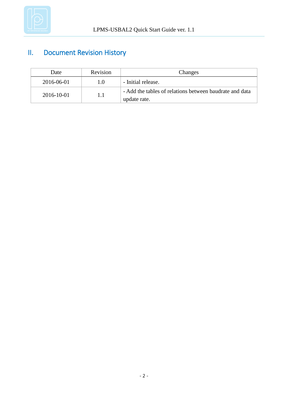

# <span id="page-3-0"></span>II. Document Revision History

| Date       | Revision | Changes                                                                 |  |
|------------|----------|-------------------------------------------------------------------------|--|
| 2016-06-01 | 1.0      | - Initial release.                                                      |  |
| 2016-10-01 | 1.1      | - Add the tables of relations between baudrate and data<br>update rate. |  |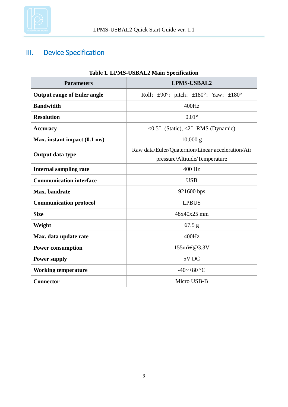

# <span id="page-4-0"></span>III. Device Specification

| <b>Parameters</b>                           | <b>LPMS-USBAL2</b>                                                                 |  |
|---------------------------------------------|------------------------------------------------------------------------------------|--|
| <b>Output range of Euler angle</b>          | Roll: $\pm 90^\circ$ ; pitch: $\pm 180^\circ$ ; Yaw: $\pm 180^\circ$               |  |
| <b>Bandwidth</b>                            | 400Hz                                                                              |  |
| <b>Resolution</b>                           | $0.01\degree$                                                                      |  |
| <b>Accuracy</b>                             | <0.5° (Static), <2° RMS (Dynamic)                                                  |  |
| Max. instant impact (0.1 ms)                | $10,000 \text{ g}$                                                                 |  |
| Output data type                            | Raw data/Euler/Quaternion/Linear acceleration/Air<br>pressure/Altitude/Temperature |  |
| <b>Internal sampling rate</b>               | 400 Hz                                                                             |  |
| <b>Communication interface</b>              | <b>USB</b>                                                                         |  |
| Max. baudrate                               | 921600 bps                                                                         |  |
| <b>Communication protocol</b>               | <b>LPBUS</b>                                                                       |  |
| <b>Size</b>                                 | 48x40x25 mm                                                                        |  |
| Weight                                      | 67.5 g                                                                             |  |
| Max. data update rate                       | 400Hz                                                                              |  |
| <b>Power consumption</b>                    | 155mW@3.3V                                                                         |  |
| 5V <sub>DC</sub><br><b>Power supply</b>     |                                                                                    |  |
| $-40$ ~+80 °C<br><b>Working temperature</b> |                                                                                    |  |
| Connector                                   | Micro USB-B                                                                        |  |

#### **Table 1. LPMS-USBAL2 Main Specification**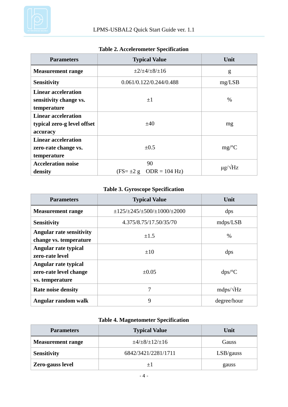

| <b>Parameters</b>                                                     | <b>Typical Value</b>                                | Unit                 |  |
|-----------------------------------------------------------------------|-----------------------------------------------------|----------------------|--|
| <b>Measurement range</b>                                              | $\pm 2/\pm 4/\pm 8/\pm 16$                          | g                    |  |
| <b>Sensitivity</b>                                                    | 0.061/0.122/0.244/0.488                             | mg/LSB               |  |
| <b>Linear acceleration</b><br>sensitivity change vs.<br>temperature   | $+1$                                                | $\%$                 |  |
| <b>Linear acceleration</b><br>typical zero-g level offset<br>accuracy | $\pm 40$                                            | mg                   |  |
| <b>Linear acceleration</b><br>zero-rate change vs.<br>temperature     | $\pm 0.5$                                           | mg/C                 |  |
| <b>Acceleration noise</b><br>density                                  | 90<br>$(FS = \pm 2 g \text{ ODR} = 104 \text{ Hz})$ | $\mu$ g/ $\sqrt{Hz}$ |  |

#### **Table 2. Accelerometer Specification**

## **Table 3. Gyroscope Specification**

| <b>Parameters</b>                                                 | <b>Typical Value</b>                                    | Unit             |  |
|-------------------------------------------------------------------|---------------------------------------------------------|------------------|--|
| <b>Measurement range</b>                                          | $\pm$ 125/ $\pm$ 245/ $\pm$ 500/ $\pm$ 1000/ $\pm$ 2000 | dps              |  |
| <b>Sensitivity</b>                                                | 4.375/8.75/17.50/35/70                                  | mdps/LSB         |  |
| <b>Angular rate sensitivity</b><br>change vs. temperature         | $\pm 1.5$                                               | $\%$             |  |
| Angular rate typical<br>zero-rate level                           | $\pm 10$                                                | dps              |  |
| Angular rate typical<br>zero-rate level change<br>vs. temperature | $\pm 0.05$                                              | dps/C            |  |
| <b>Rate noise density</b>                                         | 7                                                       | $mdps/\sqrt{Hz}$ |  |
| Angular random walk                                               | 9                                                       | degree/hour      |  |

## **Table 4. Magnetometer Specification**

| <b>Parameters</b>        | <b>Typical Value</b>        | Unit      |  |
|--------------------------|-----------------------------|-----------|--|
| <b>Measurement range</b> | $\pm 4/\pm 8/\pm 12/\pm 16$ | Gauss     |  |
| <b>Sensitivity</b>       | 6842/3421/2281/1711         | LSB/gauss |  |
| Zero-gauss level         |                             | gauss     |  |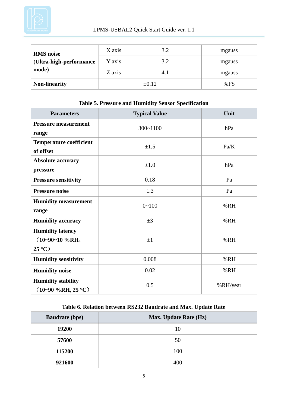

| <b>RMS</b> noise                   | X axis | 3.2  | mgauss |
|------------------------------------|--------|------|--------|
| (Ultra-high-performance            | Y axis | 3.2  | mgauss |
| mode)                              | Z axis | 4. I | mgauss |
| <b>Non-linearity</b><br>$\pm 0.12$ |        | %FS  |        |

| <b>Parameters</b>                                             | <b>Typical Value</b> | Unit     |
|---------------------------------------------------------------|----------------------|----------|
| <b>Pressure measurement</b><br>range                          | $300 - 1100$         | hPa      |
| <b>Temperature coefficient</b><br>of offset                   | $\pm 1.5$            | Pa/K     |
| <b>Absolute accuracy</b><br>pressure                          | $\pm 1.0$            | hPa      |
| <b>Pressure sensitivity</b>                                   | 0.18                 | Pa       |
| <b>Pressure noise</b>                                         | 1.3                  | Pa       |
| <b>Humidity measurement</b><br>range                          | $0 - 100$            | %RH      |
| <b>Humidity accuracy</b>                                      | $\pm 3$              | %RH      |
| <b>Humidity latency</b><br>$(10-90-10\%RH,$<br>$25 \text{ C}$ | $\pm 1$              | %RH      |
| <b>Humidity sensitivity</b>                                   | 0.008                | %RH      |
| <b>Humidity noise</b>                                         | 0.02                 | %RH      |
| <b>Humidity stability</b><br>$(10-90\%RH, 25 \text{ C})$      | 0.5                  | %RH/year |

#### **Table 5. Pressure and Humidity Sensor Specification**

## **Table 6. Relation between RS232 Baudrate and Max. Update Rate**

| <b>Baudrate (bps)</b> | <b>Max. Update Rate (Hz)</b> |
|-----------------------|------------------------------|
| 19200                 | 10                           |
| 57600                 | 50                           |
| 115200                | 100                          |
| 921600                | 400                          |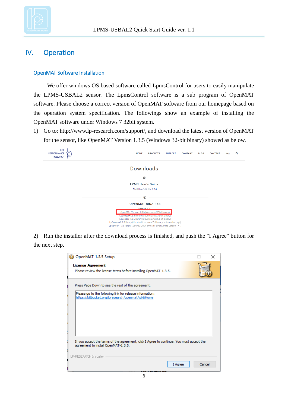

## <span id="page-7-0"></span>IV. Operation

#### <span id="page-7-1"></span>OpenMAT Software Installation

We offer windows OS based software called LpmsControl for users to easily manipulate the LPMS-USBAL2 sensor. The LpmsControl software is a sub program of OpenMAT software. Please choose a correct version of OpenMAT software from our homepage based on the operation system specification. The followings show an example of installing the OpenMAT software under Windows 7 32bit system.

1) Go to: [http://www.lp-research.com/support/,](http://www.alubi.cn/) and download the latest version of OpenMAT for the sensor, like OpenMAT Version 1.3.5 (Windows 32-bit binary) showed as below.



2) Run the installer after the download process is finished, and push the "I Agree" button for the next step.

| OpenMAT-1.3.5 Setup                                                                      |         |        | × |
|------------------------------------------------------------------------------------------|---------|--------|---|
| <b>License Agreement</b>                                                                 |         |        |   |
| Please review the license terms before installing OpenMAT-1.3.5.                         |         |        |   |
| Press Page Down to see the rest of the agreement.                                        |         |        |   |
| Please go to the following link for release information:                                 |         |        |   |
| https://bitbucket.org/lpresearch/openmat/wiki/Home                                       |         |        |   |
|                                                                                          |         |        |   |
|                                                                                          |         |        |   |
|                                                                                          |         |        |   |
|                                                                                          |         |        |   |
|                                                                                          |         |        |   |
| If you accept the terms of the agreement, click I Agree to continue. You must accept the |         |        |   |
| agreement to install OpenMAT-1.3.5.                                                      |         |        |   |
| LP-RESEARCH Installer                                                                    |         |        |   |
|                                                                                          |         |        |   |
|                                                                                          | I Agree | Cancel |   |
|                                                                                          |         |        |   |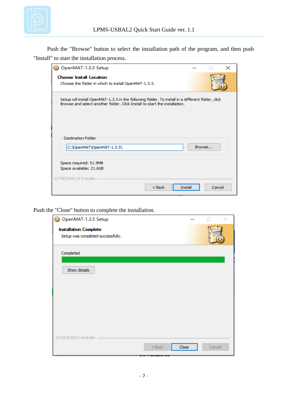

Push the "Browse" button to select the installation path of the program, and then push "Install" to start the installation process.

| OpenMAT-1.3.5 Setup                                                                                                                                                            |         |        |        | × |
|--------------------------------------------------------------------------------------------------------------------------------------------------------------------------------|---------|--------|--------|---|
| <b>Choose Install Location</b><br>Choose the folder in which to install OpenMAT-1.3.5.                                                                                         |         |        |        |   |
| Setup will install OpenMAT-1.3.5 in the following folder. To install in a different folder, dick<br>Browse and select another folder. Click Install to start the installation. |         |        |        |   |
| <b>Destination Folder</b><br>C:\OpenMAT\OpenMAT-1.3.5\                                                                                                                         |         | Browse |        |   |
| Space required: 51.9MB<br>Space available: 21.6GB<br>LP-RESEARCH Installer                                                                                                     |         |        |        |   |
| $Back$                                                                                                                                                                         | Install |        | Cancel |   |

Push the "Close" button to complete the installation.

| OpenMAT-1.3.5 Setup                                               |          |       |        |
|-------------------------------------------------------------------|----------|-------|--------|
| <b>Installation Complete</b><br>Setup was completed successfully. |          |       |        |
|                                                                   |          |       |        |
| Completed                                                         |          |       |        |
|                                                                   |          |       |        |
| Show details                                                      |          |       |        |
|                                                                   |          |       |        |
|                                                                   |          |       |        |
|                                                                   |          |       |        |
|                                                                   |          |       |        |
|                                                                   |          |       |        |
|                                                                   |          |       |        |
| LP-RESEARCH Installer -                                           |          |       |        |
|                                                                   | $<$ Back | Close | Cancel |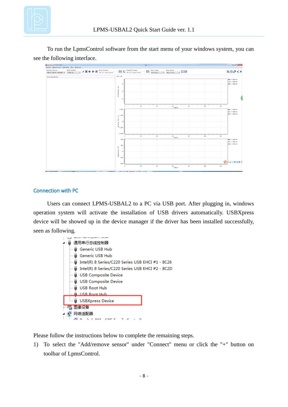

To run the LpmsControl software from the start menu of your windows system, you can see the following interface.

| Preferred devices:<br>LPMS-CU (USB ID: ASO30BAV) - | RS232 bandrate:<br>115200 bps | Becord filenume:<br>$-k \times +$<br>₩<br>Not not, please browns. | 白日                                                                                                                                                                                                                                                                                                                                                                                                          | Floyback filenome:<br>Not not, please browns. | 白 | Beset torget:<br>All sensors | Beset nethod<br>$ \frac{38}{16}$ $-$<br>Object renet |                 |     |                 | あのみくま                                                |
|----------------------------------------------------|-------------------------------|-------------------------------------------------------------------|-------------------------------------------------------------------------------------------------------------------------------------------------------------------------------------------------------------------------------------------------------------------------------------------------------------------------------------------------------------------------------------------------------------|-----------------------------------------------|---|------------------------------|------------------------------------------------------|-----------------|-----|-----------------|------------------------------------------------------|
| Connected devices                                  |                               |                                                                   | Data view                                                                                                                                                                                                                                                                                                                                                                                                   |                                               |   |                              |                                                      |                 |     |                 |                                                      |
|                                                    |                               |                                                                   | 5<br>$\langle \theta \rangle$ and $\langle \theta \rangle$<br>$\circ$<br>Accalers                                                                                                                                                                                                                                                                                                                           |                                               |   |                              |                                                      |                 |     |                 | $I = 100000$ .<br>$Y = +0000.00$<br>$2 = 40000.00$   |
|                                                    |                               |                                                                   | -5.                                                                                                                                                                                                                                                                                                                                                                                                         | 20                                            |   | 40                           | $\frac{1}{100}$                                      | 80              | 100 | $120 -$         |                                                      |
|                                                    |                               |                                                                   | 2,000<br>$\begin{array}{c} \mathbf{1.50} \\ \mathbf{2.5} \\ \mathbf{3.5} \\ \mathbf{4.5} \\ \mathbf{5.5} \\ \mathbf{6.5} \\ \mathbf{7.5} \\ \mathbf{8.5} \\ \mathbf{9.5} \\ \mathbf{1.50} \\ \mathbf{1.50} \\ \mathbf{1.50} \\ \mathbf{1.50} \\ \mathbf{1.50} \\ \mathbf{1.50} \\ \mathbf{1.50} \\ \mathbf{1.50} \\ \mathbf{1.50} \\ \mathbf{1.50} \\ \mathbf{1.50} \\ \mathbf{1.50} \\ \mathbf{1.50} \\ \$ |                                               |   |                              |                                                      |                 |     |                 | $I = 40000.00$<br>$T = 100000$ .00<br>$1 = 10000.00$ |
|                                                    |                               |                                                                   | $\tilde{\mathcal{S}}_{-1,000}$ .<br>$-2.000$                                                                                                                                                                                                                                                                                                                                                                |                                               |   |                              |                                                      |                 | 100 | 123             |                                                      |
|                                                    |                               |                                                                   | $200 -$                                                                                                                                                                                                                                                                                                                                                                                                     | 20                                            |   | 40                           | $\ddot{\omega}$<br>Samples                           | $\overline{30}$ |     |                 | $I = 10000.00$                                       |
|                                                    |                               |                                                                   | $100 -$<br>$\widehat{\Xi}$<br>$\mathbf{0}$                                                                                                                                                                                                                                                                                                                                                                  |                                               |   |                              |                                                      |                 |     |                 | $T = 100000.00$<br>$2 = +0000.00$                    |
|                                                    |                               |                                                                   | <b>Bagatoster</b><br>$-100$<br>$-200$                                                                                                                                                                                                                                                                                                                                                                       |                                               |   |                              |                                                      |                 |     |                 | <b>BOJHBETA</b>                                      |
|                                                    |                               |                                                                   |                                                                                                                                                                                                                                                                                                                                                                                                             | $\overline{50}$                               |   | $\omega$                     | $\frac{1}{2}$ Samples                                | 80              | 100 | $\frac{1}{120}$ |                                                      |

#### <span id="page-9-0"></span>Connection with PC

Users can connect LPMS-USBAL2 to a PC via USB port. After plugging in, windows operation system will activate the installation of USB drivers automatically. USBXpress device will be showed up in the device manager if the driver has been installed successfully, seen as following.



Please follow the instructions below to complete the remaining steps.

1) To select the "Add/remove sensor" under "Connect" menu or click the "+" button on toolbar of LpmsControl.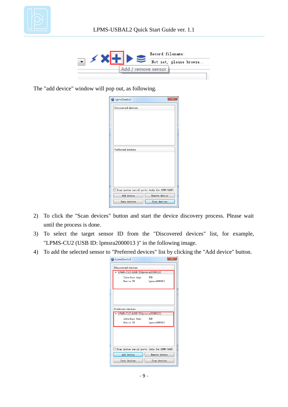



The "add device" window will pop out, as following.

| LpmsControl        | $\mathbf{x}$                                  |
|--------------------|-----------------------------------------------|
| Discovered devices |                                               |
|                    |                                               |
|                    |                                               |
|                    |                                               |
|                    |                                               |
| Preferred devices  |                                               |
|                    |                                               |
|                    |                                               |
|                    |                                               |
|                    |                                               |
|                    | Scan system serial ports (only for LPMS-UART) |
| Add device         | Remove device                                 |
| Save devices       | Scan devices                                  |

- 2) To click the "Scan devices" button and start the device discovery process. Please wait until the process is done.
- 3) To select the target sensor ID from the "Discovered devices" list, for example, "LPMS-CU2 (USB ID: lpmsra2000013 )" in the following image.
- 4) To add the selected sensor to "Preferred devices" list by clicking the "Add device" button.

| LpmsControl                                   | x             |  |  |  |  |  |  |
|-----------------------------------------------|---------------|--|--|--|--|--|--|
| Discovered devices                            |               |  |  |  |  |  |  |
| 4 LPMS-CU2 (USB ID: pmsra2000013)             |               |  |  |  |  |  |  |
| Interface type:                               | USB           |  |  |  |  |  |  |
| Device ID:                                    | lpmsra2000013 |  |  |  |  |  |  |
|                                               |               |  |  |  |  |  |  |
|                                               |               |  |  |  |  |  |  |
|                                               |               |  |  |  |  |  |  |
|                                               |               |  |  |  |  |  |  |
| Preferred devices                             |               |  |  |  |  |  |  |
| LPMS-CU2 (USB ID: pmsra2000013)               |               |  |  |  |  |  |  |
| Interface type:                               | <b>USB</b>    |  |  |  |  |  |  |
| Device ID:                                    | lpmsra2000013 |  |  |  |  |  |  |
|                                               |               |  |  |  |  |  |  |
|                                               |               |  |  |  |  |  |  |
|                                               |               |  |  |  |  |  |  |
|                                               |               |  |  |  |  |  |  |
| Scan system serial ports (only for LPMS-UART) |               |  |  |  |  |  |  |
| Add device                                    | Remove device |  |  |  |  |  |  |
| Save devices                                  | Scan devices  |  |  |  |  |  |  |
|                                               |               |  |  |  |  |  |  |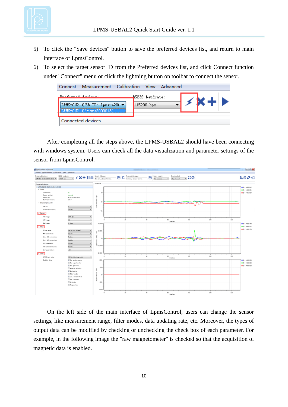

- 5) To click the "Save devices" button to save the preferred devices list, and return to main interface of LpmsControl.
- 6) To select the target sensor ID from the Preferred devices list, and click Connect function under "Connect" menu or click the lightning button on toolbar to connect the sensor.

|                    | Connect Measurement Calibration View Advanced |                               |            |  |
|--------------------|-----------------------------------------------|-------------------------------|------------|--|
| Proferred deviase: | LPMS-CU2 (USB ID: 1pmsra200 v<br>0.0113       | RS232 baudrate:<br>115200 bps | <b>K+D</b> |  |
|                    | Connected devices                             |                               |            |  |

After completing all the steps above, the LPMS-USBAL2 should have been connecting with windows system. Users can check all the data visualization and parameter settings of the sensor from LpmsControl.



On the left side of the main interface of LpmsControl, users can change the sensor settings, like measurement range, filter modes, data updating rate, etc. Moreover, the types of output data can be modified by checking or unchecking the check box of each parameter. For example, in the following image the "raw magnetometer" is checked so that the acquisition of magnetic data is enabled.